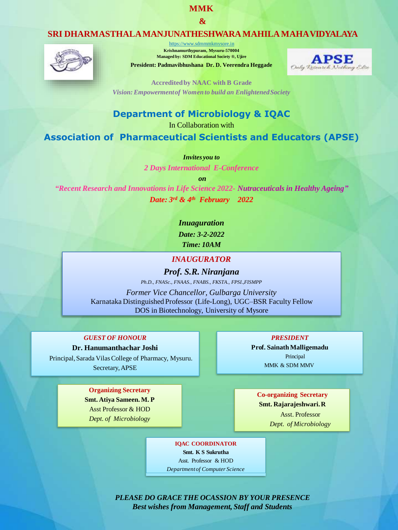## **MMK**

**&**

# **SRI DHARMASTHALAMANJUNATHESHWARAMAHILAMAHAVIDYALAYA**



https:/[/www.sdmmmkmysore.in](http://www.sdmmmkmysore.in/)  **Krishnamurthypuram, Mysuru-570004 Managed by: SDM Educational Society ®, Ujire**

**President: Padmavibhushana Dr. D. Veerendra Heggade**



**Accreditedby NAAC with B Grade** *Vision:Empowermentof Womento build an EnlightenedSociety*

# **Department of Microbiology & IQAC**

In Collaboration with

**Association of Pharmaceutical Scientists and Educators (APSE)**

#### *Invites you to*

*2 Days International E-Conference*

*on*

*"Recent Research and Innovations in Life Science 2022- Nutraceuticals in Healthy Ageing" Date: 3rd & 4th February 2022*

*Inuaguration*

*Date: 3-2-2022*

*Time: 10AM*

## *INAUGURATOR*

*Prof. S.R. Niranjana Ph.D., FNASc., FNAAS., FNABS., FKSTA., FPSI.,FISMPP*

*Former Vice Chancellor, Gulbarga University* Karnataka Distinguished Professor (Life-Long), UGC–BSR Faculty Fellow DOS in Biotechnology, University of Mysore

*GUEST OF HONOUR*

**Dr. Hanumanthachar Joshi** Principal, Sarada Vilas College of Pharmacy, Mysuru. Secretary,APSE

> **Organizing Secretary Smt. Atiya Sameen. M. P**

> Asst Professor & HOD *Dept. of Microbiology*

*PRESIDENT*

**Prof. Sainath Malligemadu** Principal MMK & SDM MMV

**Co-organizing Secretary Smt. Rajarajeshwari.R**

> Asst. Professor *Dept. of Microbiology*

**IQAC COORDINATOR**

**Smt. K S Sukrutha** Asst. Professor & HOD

*Departmentof Computer Science*

*PLEASE DO GRACETHE OCASSION BY YOUR PRESENCE Best wishes from Management, Staff and Students*